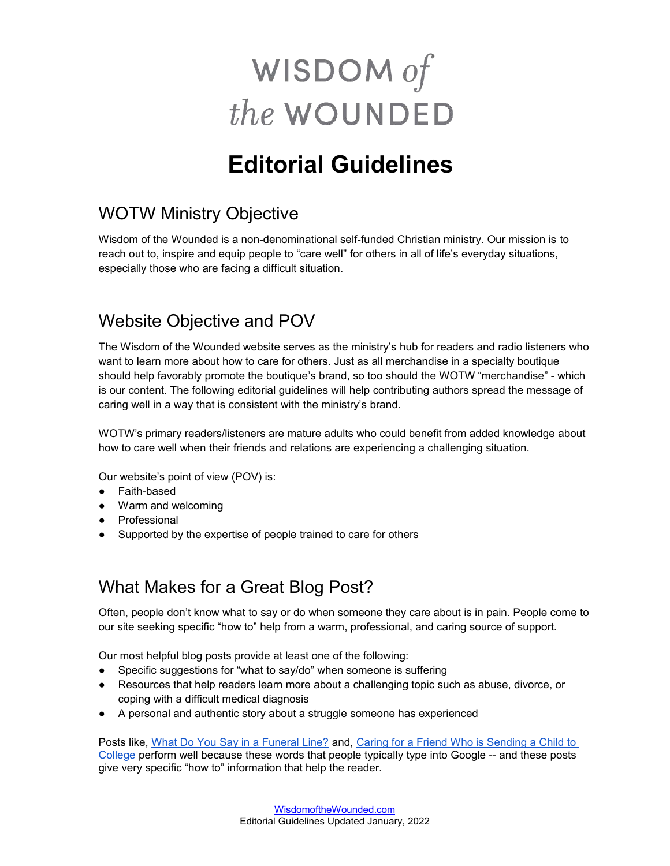# WISDOM of the WOUNDED

# **Editorial Guidelines**

# WOTW Ministry Objective

Wisdom of the Wounded is a non-denominational self-funded Christian ministry. Our mission is to reach out to, inspire and equip people to "care well" for others in all of life's everyday situations, especially those who are facing a difficult situation.

## Website Objective and POV

The Wisdom of the Wounded website serves as the ministry's hub for readers and radio listeners who want to learn more about how to care for others. Just as all merchandise in a specialty boutique should help favorably promote the boutique's brand, so too should the WOTW "merchandise" - which is our content. The following editorial guidelines will help contributing authors spread the message of caring well in a way that is consistent with the ministry's brand.

WOTW's primary readers/listeners are mature adults who could benefit from added knowledge about how to care well when their friends and relations are experiencing a challenging situation.

Our website's point of view (POV) is:

- Faith-based
- Warm and welcoming
- Professional
- Supported by the expertise of people trained to care for others

#### What Makes for a Great Blog Post?

Often, people don't know what to say or do when someone they care about is in pain. People come to our site seeking specific "how to" help from a warm, professional, and caring source of support.

Our most helpful blog posts provide at least one of the following:

- Specific suggestions for "what to say/do" when someone is suffering
- Resources that help readers learn more about a challenging topic such as abuse, divorce, or coping with a difficult medical diagnosis
- A personal and authentic story about a struggle someone has experienced

Posts like, [What Do You Say in a Funeral Line?](http://wisdomofthewounded.com/2014/03/31/what-do-you-say-in-a-funeral-line-2/) and, [Caring for a Friend Who is Sending a Child to](https://wisdomofthewounded.com/2018/07/26/caring-for-friend-sending-a-child-to-college/)  [College](https://wisdomofthewounded.com/2018/07/26/caring-for-friend-sending-a-child-to-college/) perform well because these words that people typically type into Google -- and these posts give very specific "how to" information that help the reader.